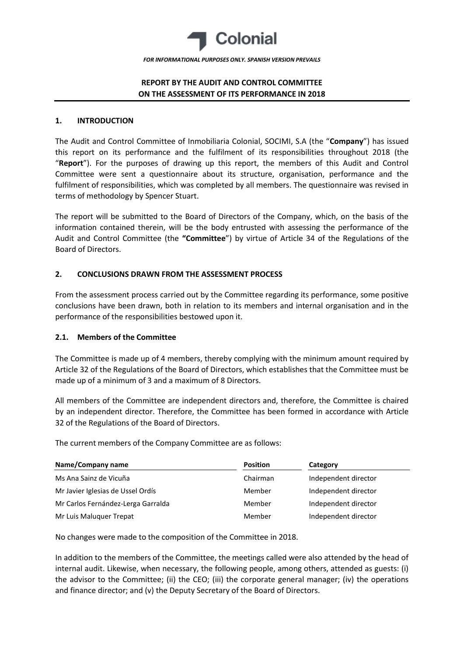

# **REPORT BY THE AUDIT AND CONTROL COMMITTEE ON THE ASSESSMENT OF ITS PERFORMANCE IN 2018**

#### **1. INTRODUCTION**

The Audit and Control Committee of Inmobiliaria Colonial, SOCIMI, S.A (the "**Company**") has issued this report on its performance and the fulfilment of its responsibilities throughout 2018 (the "**Report**"). For the purposes of drawing up this report, the members of this Audit and Control Committee were sent a questionnaire about its structure, organisation, performance and the fulfilment of responsibilities, which was completed by all members. The questionnaire was revised in terms of methodology by Spencer Stuart.

The report will be submitted to the Board of Directors of the Company, which, on the basis of the information contained therein, will be the body entrusted with assessing the performance of the Audit and Control Committee (the **"Committee**") by virtue of Article 34 of the Regulations of the Board of Directors.

### **2. CONCLUSIONS DRAWN FROM THE ASSESSMENT PROCESS**

From the assessment process carried out by the Committee regarding its performance, some positive conclusions have been drawn, both in relation to its members and internal organisation and in the performance of the responsibilities bestowed upon it.

### **2.1. Members of the Committee**

The Committee is made up of 4 members, thereby complying with the minimum amount required by Article 32 of the Regulations of the Board of Directors, which establishes that the Committee must be made up of a minimum of 3 and a maximum of 8 Directors.

All members of the Committee are independent directors and, therefore, the Committee is chaired by an independent director. Therefore, the Committee has been formed in accordance with Article 32 of the Regulations of the Board of Directors.

The current members of the Company Committee are as follows:

| Name/Company name                  | <b>Position</b> | Category             |
|------------------------------------|-----------------|----------------------|
| Ms Ana Sainz de Vicuña             | Chairman        | Independent director |
| Mr Javier Iglesias de Ussel Ordís  | Member          | Independent director |
| Mr Carlos Fernández-Lerga Garralda | Member          | Independent director |
| Mr Luis Maluguer Trepat            | Member          | Independent director |

No changes were made to the composition of the Committee in 2018.

In addition to the members of the Committee, the meetings called were also attended by the head of internal audit. Likewise, when necessary, the following people, among others, attended as guests: (i) the advisor to the Committee; (ii) the CEO; (iii) the corporate general manager; (iv) the operations and finance director; and (v) the Deputy Secretary of the Board of Directors.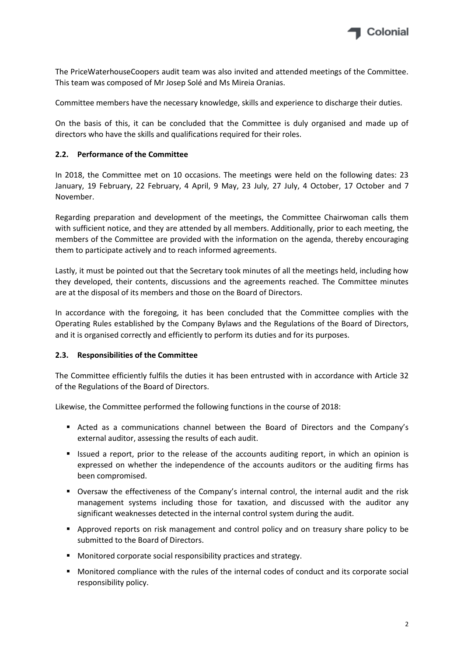

The PriceWaterhouseCoopers audit team was also invited and attended meetings of the Committee. This team was composed of Mr Josep Solé and Ms Mireia Oranias.

Committee members have the necessary knowledge, skills and experience to discharge their duties.

On the basis of this, it can be concluded that the Committee is duly organised and made up of directors who have the skills and qualifications required for their roles.

## **2.2. Performance of the Committee**

In 2018, the Committee met on 10 occasions. The meetings were held on the following dates: 23 January, 19 February, 22 February, 4 April, 9 May, 23 July, 27 July, 4 October, 17 October and 7 November.

Regarding preparation and development of the meetings, the Committee Chairwoman calls them with sufficient notice, and they are attended by all members. Additionally, prior to each meeting, the members of the Committee are provided with the information on the agenda, thereby encouraging them to participate actively and to reach informed agreements.

Lastly, it must be pointed out that the Secretary took minutes of all the meetings held, including how they developed, their contents, discussions and the agreements reached. The Committee minutes are at the disposal of its members and those on the Board of Directors.

In accordance with the foregoing, it has been concluded that the Committee complies with the Operating Rules established by the Company Bylaws and the Regulations of the Board of Directors, and it is organised correctly and efficiently to perform its duties and for its purposes.

### **2.3. Responsibilities of the Committee**

The Committee efficiently fulfils the duties it has been entrusted with in accordance with Article 32 of the Regulations of the Board of Directors.

Likewise, the Committee performed the following functions in the course of 2018:

- Acted as a communications channel between the Board of Directors and the Company's external auditor, assessing the results of each audit.
- Issued a report, prior to the release of the accounts auditing report, in which an opinion is expressed on whether the independence of the accounts auditors or the auditing firms has been compromised.
- Oversaw the effectiveness of the Company's internal control, the internal audit and the risk management systems including those for taxation, and discussed with the auditor any significant weaknesses detected in the internal control system during the audit.
- Approved reports on risk management and control policy and on treasury share policy to be submitted to the Board of Directors.
- Monitored corporate social responsibility practices and strategy.
- Monitored compliance with the rules of the internal codes of conduct and its corporate social responsibility policy.